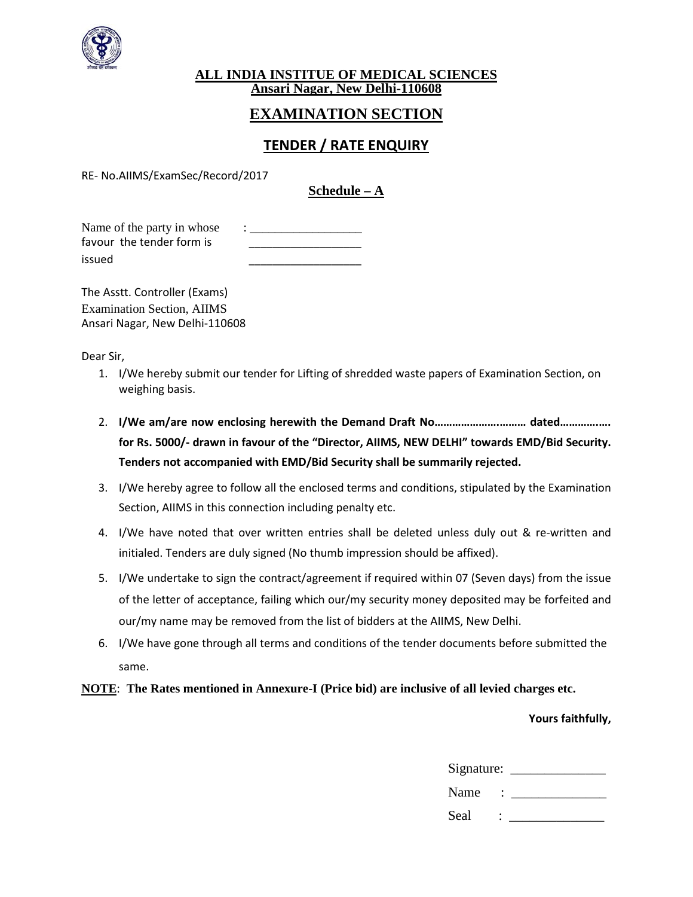

#### **ALL INDIA INSTITUE OF MEDICAL SCIENCES Ansari Nagar, New Delhi-110608**

# **EXAMINATION SECTION**

# **TENDER / RATE ENQUIRY**

RE- No.AIIMS/ExamSec/Record/2017

# **Schedule – A**

Name of the party in whose favour the tender form is issued \_\_\_\_\_\_\_\_\_\_\_\_\_\_\_\_\_\_\_

The Asstt. Controller (Exams) Examination Section, AIIMS Ansari Nagar, New Delhi-110608

Dear Sir,

- 1. I/We hereby submit our tender for Lifting of shredded waste papers of Examination Section, on weighing basis.
- 2. **I/We am/are now enclosing herewith the Demand Draft No………………….……… dated………….…. for Rs. 5000/- drawn in favour of the "Director, AIIMS, NEW DELHI" towards EMD/Bid Security. Tenders not accompanied with EMD/Bid Security shall be summarily rejected.**
- 3. I/We hereby agree to follow all the enclosed terms and conditions, stipulated by the Examination Section, AIIMS in this connection including penalty etc.
- 4. I/We have noted that over written entries shall be deleted unless duly out & re-written and initialed. Tenders are duly signed (No thumb impression should be affixed).
- 5. I/We undertake to sign the contract/agreement if required within 07 (Seven days) from the issue of the letter of acceptance, failing which our/my security money deposited may be forfeited and our/my name may be removed from the list of bidders at the AIIMS, New Delhi.
- 6. I/We have gone through all terms and conditions of the tender documents before submitted the same.

#### **NOTE**: **The Rates mentioned in Annexure-I (Price bid) are inclusive of all levied charges etc.**

#### **Yours faithfully,**

| Signature: |        |
|------------|--------|
| Name       | $\sim$ |
| Seal       | $\sim$ |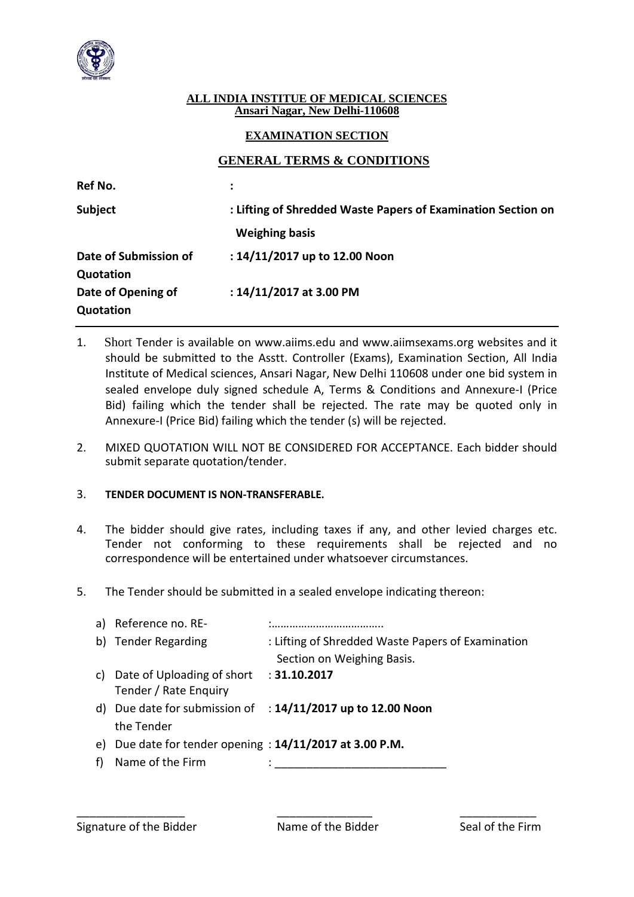

### **ALL INDIA INSTITUE OF MEDICAL SCIENCES Ansari Nagar, New Delhi-110608**

## **EXAMINATION SECTION**

## **GENERAL TERMS & CONDITIONS**

| Ref No.               |                                                              |
|-----------------------|--------------------------------------------------------------|
| Subject               | : Lifting of Shredded Waste Papers of Examination Section on |
|                       | <b>Weighing basis</b>                                        |
| Date of Submission of | : 14/11/2017 up to 12.00 Noon                                |
| Quotation             |                                                              |
| Date of Opening of    | : 14/11/2017 at 3.00 PM                                      |
| Quotation             |                                                              |

- 1. Short Tender is available on www.aiims.edu and www.aiimsexams.org websites and it should be submitted to the Asstt. Controller (Exams), Examination Section, All India Institute of Medical sciences, Ansari Nagar, New Delhi 110608 under one bid system in sealed envelope duly signed schedule A, Terms & Conditions and Annexure-I (Price Bid) failing which the tender shall be rejected. The rate may be quoted only in Annexure-I (Price Bid) failing which the tender (s) will be rejected.
- 2. MIXED QUOTATION WILL NOT BE CONSIDERED FOR ACCEPTANCE. Each bidder should submit separate quotation/tender.

### 3. **TENDER DOCUMENT IS NON-TRANSFERABLE.**

- 4. The bidder should give rates, including taxes if any, and other levied charges etc. Tender not conforming to these requirements shall be rejected and no correspondence will be entertained under whatsoever circumstances.
- 5. The Tender should be submitted in a sealed envelope indicating thereon:

|    | a) Reference no. RE-                                       |                                                                        |
|----|------------------------------------------------------------|------------------------------------------------------------------------|
|    | b) Tender Regarding                                        | : Lifting of Shredded Waste Papers of Examination                      |
|    |                                                            | Section on Weighing Basis.                                             |
| C) | Date of Uploading of short                                 | : 31.10.2017                                                           |
|    | Tender / Rate Enquiry                                      |                                                                        |
|    |                                                            | d) Due date for submission of $\therefore$ 14/11/2017 up to 12.00 Noon |
|    | the Tender                                                 |                                                                        |
|    | e) Due date for tender opening : $14/11/2017$ at 3.00 P.M. |                                                                        |
| f  | Name of the Firm                                           |                                                                        |

\_\_\_\_\_\_\_\_\_\_\_\_\_\_\_\_\_ \_\_\_\_\_\_\_\_\_\_\_\_\_\_\_ \_\_\_\_\_\_\_\_\_\_\_\_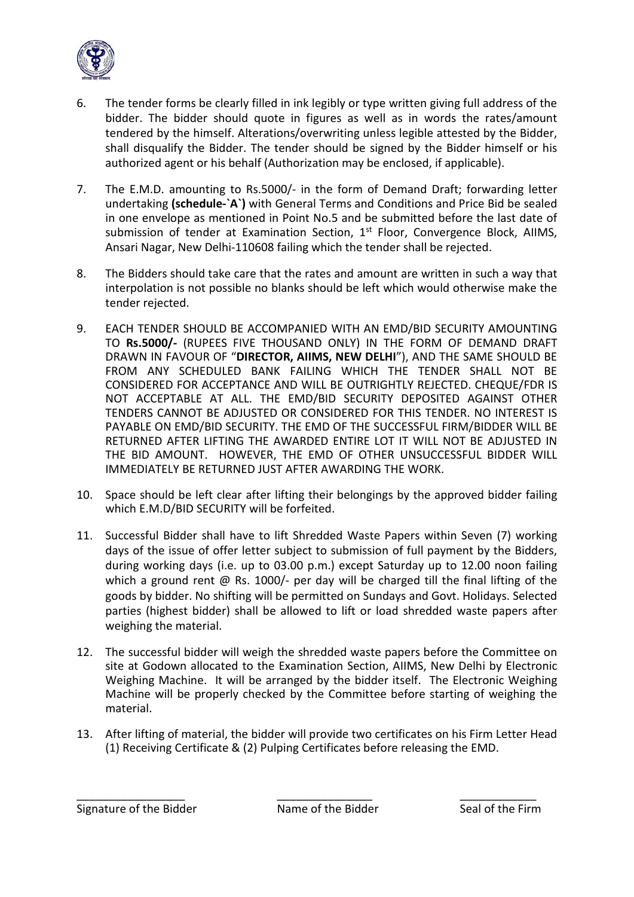

- 6. The tender forms be clearly filled in ink legibly or type written giving full address of the bidder. The bidder should quote in figures as well as in words the rates/amount tendered by the himself. Alterations/overwriting unless legible attested by the Bidder, shall disqualify the Bidder. The tender should be signed by the Bidder himself or his authorized agent or his behalf (Authorization may be enclosed, if applicable).
- 7. The E.M.D. amounting to Rs.5000/- in the form of Demand Draft; forwarding letter undertaking **(schedule-`A`)** with General Terms and Conditions and Price Bid be sealed in one envelope as mentioned in Point No.5 and be submitted before the last date of submission of tender at Examination Section,  $1<sup>st</sup>$  Floor, Convergence Block, AIIMS, Ansari Nagar, New Delhi-110608 failing which the tender shall be rejected.
- 8. The Bidders should take care that the rates and amount are written in such a way that interpolation is not possible no blanks should be left which would otherwise make the tender rejected.
- 9. EACH TENDER SHOULD BE ACCOMPANIED WITH AN EMD/BID SECURITY AMOUNTING TO **Rs.5000/-** (RUPEES FIVE THOUSAND ONLY) IN THE FORM OF DEMAND DRAFT DRAWN IN FAVOUR OF "**DIRECTOR, AIIMS, NEW DELHI**"), AND THE SAME SHOULD BE FROM ANY SCHEDULED BANK FAILING WHICH THE TENDER SHALL NOT BE CONSIDERED FOR ACCEPTANCE AND WILL BE OUTRIGHTLY REJECTED. CHEQUE/FDR IS NOT ACCEPTABLE AT ALL. THE EMD/BID SECURITY DEPOSITED AGAINST OTHER TENDERS CANNOT BE ADJUSTED OR CONSIDERED FOR THIS TENDER. NO INTEREST IS PAYABLE ON EMD/BID SECURITY. THE EMD OF THE SUCCESSFUL FIRM/BIDDER WILL BE RETURNED AFTER LIFTING THE AWARDED ENTIRE LOT IT WILL NOT BE ADJUSTED IN THE BID AMOUNT. HOWEVER, THE EMD OF OTHER UNSUCCESSFUL BIDDER WILL IMMEDIATELY BE RETURNED JUST AFTER AWARDING THE WORK.
- 10. Space should be left clear after lifting their belongings by the approved bidder failing which E.M.D/BID SECURITY will be forfeited.
- 11. Successful Bidder shall have to lift Shredded Waste Papers within Seven (7) working days of the issue of offer letter subject to submission of full payment by the Bidders, during working days (i.e. up to 03.00 p.m.) except Saturday up to 12.00 noon failing which a ground rent @ Rs. 1000/- per day will be charged till the final lifting of the goods by bidder. No shifting will be permitted on Sundays and Govt. Holidays. Selected parties (highest bidder) shall be allowed to lift or load shredded waste papers after weighing the material.
- 12. The successful bidder will weigh the shredded waste papers before the Committee on site at Godown allocated to the Examination Section, AIIMS, New Delhi by Electronic Weighing Machine. It will be arranged by the bidder itself. The Electronic Weighing Machine will be properly checked by the Committee before starting of weighing the material.
- 13. After lifting of material, the bidder will provide two certificates on his Firm Letter Head (1) Receiving Certificate & (2) Pulping Certificates before releasing the EMD.

\_\_\_\_\_\_\_\_\_\_\_\_\_\_\_\_\_ \_\_\_\_\_\_\_\_\_\_\_\_\_\_\_ \_\_\_\_\_\_\_\_\_\_\_\_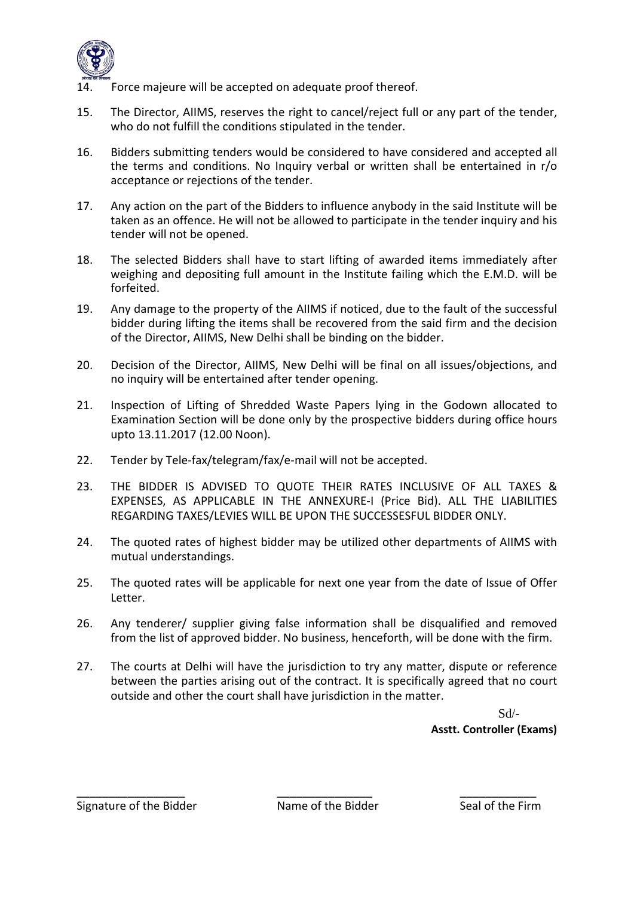

- Force majeure will be accepted on adequate proof thereof.
- 15. The Director, AIIMS, reserves the right to cancel/reject full or any part of the tender, who do not fulfill the conditions stipulated in the tender.
- 16. Bidders submitting tenders would be considered to have considered and accepted all the terms and conditions. No Inquiry verbal or written shall be entertained in r/o acceptance or rejections of the tender.
- 17. Any action on the part of the Bidders to influence anybody in the said Institute will be taken as an offence. He will not be allowed to participate in the tender inquiry and his tender will not be opened.
- 18. The selected Bidders shall have to start lifting of awarded items immediately after weighing and depositing full amount in the Institute failing which the E.M.D. will be forfeited.
- 19. Any damage to the property of the AIIMS if noticed, due to the fault of the successful bidder during lifting the items shall be recovered from the said firm and the decision of the Director, AIIMS, New Delhi shall be binding on the bidder.
- 20. Decision of the Director, AIIMS, New Delhi will be final on all issues/objections, and no inquiry will be entertained after tender opening.
- 21. Inspection of Lifting of Shredded Waste Papers lying in the Godown allocated to Examination Section will be done only by the prospective bidders during office hours upto 13.11.2017 (12.00 Noon).
- 22. Tender by Tele-fax/telegram/fax/e-mail will not be accepted.
- 23. THE BIDDER IS ADVISED TO QUOTE THEIR RATES INCLUSIVE OF ALL TAXES & EXPENSES, AS APPLICABLE IN THE ANNEXURE-I (Price Bid). ALL THE LIABILITIES REGARDING TAXES/LEVIES WILL BE UPON THE SUCCESSESFUL BIDDER ONLY.
- 24. The quoted rates of highest bidder may be utilized other departments of AIIMS with mutual understandings.
- 25. The quoted rates will be applicable for next one year from the date of Issue of Offer Letter.
- 26. Any tenderer/ supplier giving false information shall be disqualified and removed from the list of approved bidder. No business, henceforth, will be done with the firm.
- 27. The courts at Delhi will have the jurisdiction to try any matter, dispute or reference between the parties arising out of the contract. It is specifically agreed that no court outside and other the court shall have jurisdiction in the matter.

Sd/- **Asstt. Controller (Exams)**

Signature of the Bidder Name of the Bidder Seal of the Firm

\_\_\_\_\_\_\_\_\_\_\_\_\_\_\_\_\_ \_\_\_\_\_\_\_\_\_\_\_\_\_\_\_ \_\_\_\_\_\_\_\_\_\_\_\_